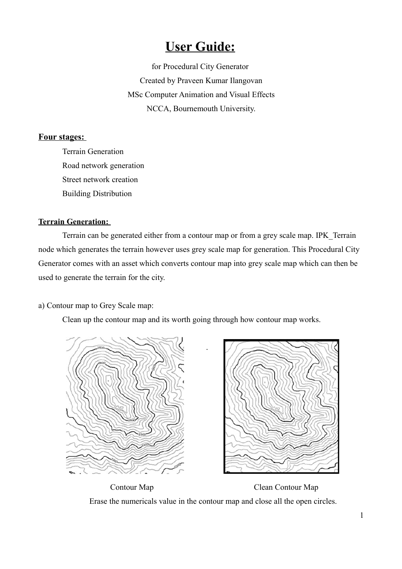# **User Guide:**

for Procedural City Generator Created by Praveen Kumar Ilangovan MSc Computer Animation and Visual Effects NCCA, Bournemouth University.

## **Four stages:**

Terrain Generation Road network generation Street network creation Building Distribution

## **Terrain Generation:**

Terrain can be generated either from a contour map or from a grey scale map. IPK\_Terrain node which generates the terrain however uses grey scale map for generation. This Procedural City Generator comes with an asset which converts contour map into grey scale map which can then be used to generate the terrain for the city.

a) Contour map to Grey Scale map:

Clean up the contour map and its worth going through how contour map works.

.





Contour Map Clean Contour Map Erase the numericals value in the contour map and close all the open circles.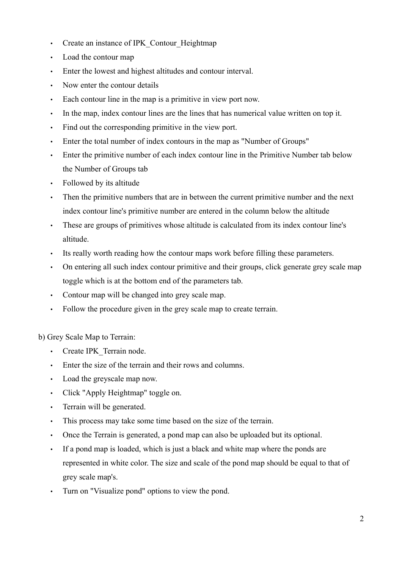- Create an instance of IPK Contour Heightmap
- Load the contour map
- Enter the lowest and highest altitudes and contour interval.
- Now enter the contour details
- Each contour line in the map is a primitive in view port now.
- In the map, index contour lines are the lines that has numerical value written on top it.
- Find out the corresponding primitive in the view port.
- Enter the total number of index contours in the map as "Number of Groups"
- Enter the primitive number of each index contour line in the Primitive Number tab below the Number of Groups tab
- Followed by its altitude
- Then the primitive numbers that are in between the current primitive number and the next index contour line's primitive number are entered in the column below the altitude
- These are groups of primitives whose altitude is calculated from its index contour line's altitude.
- Its really worth reading how the contour maps work before filling these parameters.
- On entering all such index contour primitive and their groups, click generate grey scale map toggle which is at the bottom end of the parameters tab.
- Contour map will be changed into grey scale map.
- Follow the procedure given in the grey scale map to create terrain.

b) Grey Scale Map to Terrain:

- Create IPK Terrain node.
- Enter the size of the terrain and their rows and columns.
- Load the greyscale map now.
- Click "Apply Heightmap" toggle on.
- Terrain will be generated.
- This process may take some time based on the size of the terrain.
- Once the Terrain is generated, a pond map can also be uploaded but its optional.
- If a pond map is loaded, which is just a black and white map where the ponds are represented in white color. The size and scale of the pond map should be equal to that of grey scale map's.
- Turn on "Visualize pond" options to view the pond.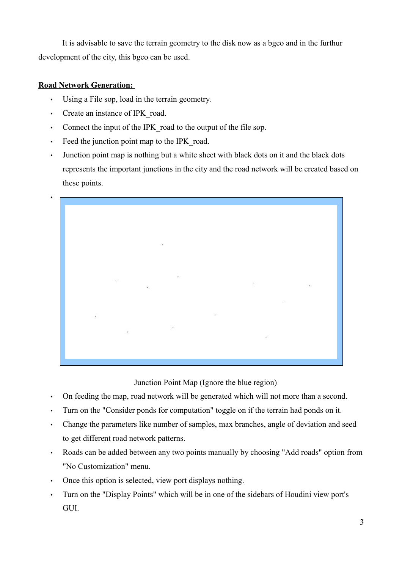It is advisable to save the terrain geometry to the disk now as a bgeo and in the furthur development of the city, this bgeo can be used.

## **Road Network Generation:**

- Using a File sop, load in the terrain geometry.
- Create an instance of IPK road.
- Connect the input of the IPK road to the output of the file sop.
- Feed the junction point map to the IPK road.
- Junction point map is nothing but a white sheet with black dots on it and the black dots represents the important junctions in the city and the road network will be created based on these points.



Junction Point Map (Ignore the blue region)

- On feeding the map, road network will be generated which will not more than a second.
- Turn on the "Consider ponds for computation" toggle on if the terrain had ponds on it.
- Change the parameters like number of samples, max branches, angle of deviation and seed to get different road network patterns.
- Roads can be added between any two points manually by choosing "Add roads" option from "No Customization" menu.
- Once this option is selected, view port displays nothing.
- Turn on the "Display Points" which will be in one of the sidebars of Houdini view port's **GUI.**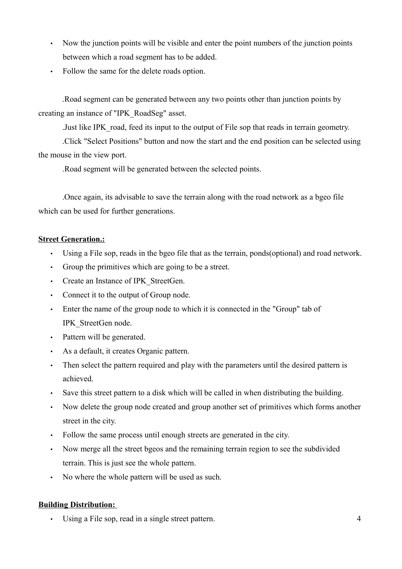- Now the junction points will be visible and enter the point numbers of the junction points between which a road segment has to be added.
- Follow the same for the delete roads option.

.Road segment can be generated between any two points other than junction points by creating an instance of "IPK\_RoadSeg" asset.

.Just like IPK\_road, feed its input to the output of File sop that reads in terrain geometry.

.Click "Select Positions" button and now the start and the end position can be selected using the mouse in the view port.

.Road segment will be generated between the selected points.

.Once again, its advisable to save the terrain along with the road network as a bgeo file which can be used for further generations.

## **Street Generation.:**

- Using a File sop, reads in the bgeo file that as the terrain, ponds(optional) and road network.
- Group the primitives which are going to be a street.
- Create an Instance of IPK StreetGen.
- Connect it to the output of Group node.
- Enter the name of the group node to which it is connected in the "Group" tab of IPK\_StreetGen node.
- Pattern will be generated.
- As a default, it creates Organic pattern.
- Then select the pattern required and play with the parameters until the desired pattern is achieved.
- Save this street pattern to a disk which will be called in when distributing the building.
- Now delete the group node created and group another set of primitives which forms another street in the city.
- Follow the same process until enough streets are generated in the city.
- Now merge all the street bgeos and the remaining terrain region to see the subdivided terrain. This is just see the whole pattern.
- No where the whole pattern will be used as such.

## **Building Distribution:**

Using a File sop, read in a single street pattern. 4